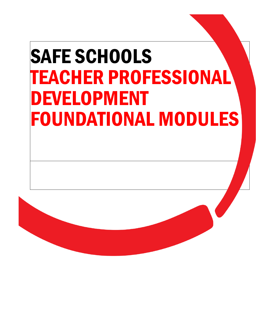# SAFE SCHOOLS TEACHER PROFESSIONAL DEVELOPMENT FOUNDATIONAL MODULES

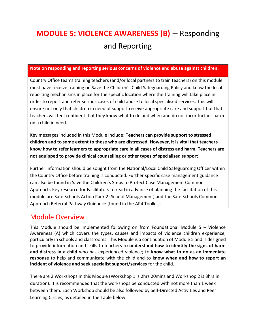## **MODULE 5: VIOLENCE AWARENESS (B)** – Responding and Reporting

#### **Note on responding and reporting serious concerns of violence and abuse against children:**

Country Office teams training teachers (and/or local partners to train teachers) on this module must have receive training on Save the Children's Child Safeguarding Policy and know the local reporting mechanisms in place for the specific location where the training will take place in order to report and refer serious cases of child abuse to local specialised services. This will ensure not only that children in need of support receive appropriate care and support but that teachers will feel confident that they know what to do and when and do not incur further harm on a child in need.

Key messages included in this Module include: **Teachers can provide support to stressed children and to some extent to those who are distressed. However, it is vital that teachers know how to refer learners to appropriate care in all cases of distress and harm. Teachers are not equipped to provide clinical counselling or other types of specialised support!**

Further information should be sought from the National/Local Child Safeguarding Officer within the Country Office before training is conducted. Further specific case management guidance can also be found in Save the Children's Steps to Protect Case Management Common Approach. Key resource for Facilitators to read in advance of planning the facilitation of this module are Safe Schools Action Pack 2 (School Management) and the Safe Schools Common Approach Referral Pathway Guidance (found in the AP4 Toolkit).

## Module Overview

This Module should be implemented following on from Foundational Module 5 – Violence Awareness (A) which covers the types, causes and impacts of violence children experience, particularly in schools and classrooms. This Module is a continuation of Module 5 and is designed to provide information and skills to teachers to **understand how to identify the signs of harm and distress in a child** who has experienced violence; to **know what to do as an immediate response** to help and communicate with the child and to **know when and how to report an incident of violence and seek specialist support/services** for the child.

There are 2 Workshops in this Module (Workshop 1 is 2hrs 20mins and Workshop 2 is 3hrs in duration). It is recommended that the workshops be conducted with not more than 1 week between them. Each Workshop should be also followed by Self-Directed Activities and Peer Learning Circles, as detailed in the Table below.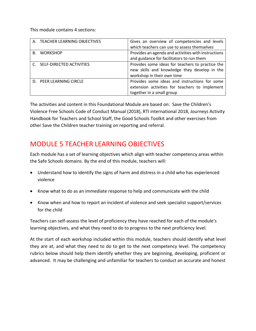This module contains 4 sections:

|           | A. TEACHER LEARNING OBJECTIVES | Gives an overview of competencies and levels        |
|-----------|--------------------------------|-----------------------------------------------------|
|           |                                | which teachers can use to assess themselves         |
| <b>B.</b> | WORKSHOP                       | Provides an agenda and activities with instructions |
|           |                                | and guidance for facilitators to run them           |
|           | C. SELF-DIRECTED ACTIVITIES    | Provides some ideas for teachers to practice the    |
|           |                                | new skills and knowledge they develop in the        |
|           |                                | workshop in their own time                          |
|           | D. PEER LEARNING CIRCLE        | Provides some ideas and instructions for some       |
|           |                                | extension activities for teachers to implement      |
|           |                                | together in a small group                           |

The activities and content in this Foundational Module are based on: Save the Children's Violence Free Schools Code of Conduct Manual (2018), RTI international 2018, Journeys Activity Handbook for Teachers and School Staff, the Good Schools Toolkit and other exercises from other Save the Children teacher training on reporting and referral.

## MODULE 5 TEACHER LEARNING OBJECTIVES

Each module has a set of learning objectives which align with teacher competency areas within the Safe Schools domains. By the end of this module, teachers will:

- Understand how to identify the signs of harm and distress in a child who has experienced violence
- Know what to do as an immediate response to help and communicate with the child
- Know when and how to report an incident of violence and seek specialist support/services for the child

Teachers can self-assess the level of proficiency they have reached for each of the module's learning objectives, and what they need to do to progress to the next proficiency level.

At the start of each workshop included within this module, teachers should identify what level they are at, and what they need to do to get to the next competency level. The competency rubrics below should help them identify whether they are beginning, developing, proficient or advanced. It may be challenging and unfamiliar for teachers to conduct an accurate and honest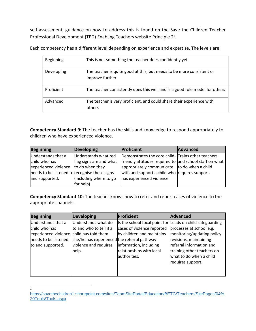self-assessment, guidance on how to address this is found on the Save the Children [Teacher](https://savethechildren1.sharepoint.com/sites/TeamSitePortal/Education/BETG/Teachers/SitePages/03%20Implementation%20guide/Principle%202.aspx?cid=0a8cd9be-22f9-4d5a-bc3b-c336a47c0cd4)  [Professional Development \(TPD\) Enabling Teachers website Principle 2](https://savethechildren1.sharepoint.com/sites/TeamSitePortal/Education/BETG/Teachers/SitePages/03%20Implementation%20guide/Principle%202.aspx?cid=0a8cd9be-22f9-4d5a-bc3b-c336a47c0cd4)<sup>1</sup>.

Each competency has a different level depending on experience and expertise. The levels are:

| <b>Beginning</b> | This is not something the teacher does confidently yet                                   |
|------------------|------------------------------------------------------------------------------------------|
| Developing       | The teacher is quite good at this, but needs to be more consistent or<br>improve further |
| Proficient       | The teacher consistently does this well and is a good role model for others              |
| Advanced         | The teacher is very proficient, and could share their experience with<br>others          |

**Competency Standard 9:** The teacher has the skills and knowledge to respond appropriately to children who have experienced violence.

| <b>Beginning</b>                              | <b>Developing</b>       | Proficient                                              | Advanced |
|-----------------------------------------------|-------------------------|---------------------------------------------------------|----------|
| Understands that a                            | Understands what red    | Demonstrates the core child- Trains other teachers      |          |
| child who has                                 | flag signs are and what | friendly attitudes required to and school staff on what |          |
| experienced violence                          | to do when they         | appropriately communicate $\vert$ to do when a child    |          |
| needs to be listened to recognise these signs |                         | with and support a child who requires support.          |          |
| and supported.                                | (including where to go  | has experienced violence                                |          |
|                                               | for help)               |                                                         |          |

**Competency Standard 10:** The teacher knows how to refer and report cases of violence to the appropriate channels.

| <b>Beginning</b>                                                                                                             | <b>Developing</b>                                                                                                               | Proficient                                                                                                                    | Advanced                                                                                                                                                                                                                                                |
|------------------------------------------------------------------------------------------------------------------------------|---------------------------------------------------------------------------------------------------------------------------------|-------------------------------------------------------------------------------------------------------------------------------|---------------------------------------------------------------------------------------------------------------------------------------------------------------------------------------------------------------------------------------------------------|
| Understands that a<br>child who has<br>experienced violence child has told them<br>needs to be listened<br>to and supported. | Understands what do<br>to and who to tell if a<br>she/he has experienced the referral pathway<br>violence and requires<br>help. | cases of violence reported<br>by children and maintains<br>information, including<br>relationships with local<br>authorities. | Is the school focal point for Leads on child safeguarding<br>processes at school e.g.<br>monitoring/updating policy<br>revisions, maintaining<br>referral information and<br>training other teachers on<br>what to do when a child<br>requires support. |
|                                                                                                                              |                                                                                                                                 |                                                                                                                               |                                                                                                                                                                                                                                                         |

[https://savethechildren1.sharepoint.com/sites/TeamSitePortal/Education/BETG/Teachers/SitePages/04%](https://savethechildren1.sharepoint.com/sites/TeamSitePortal/Education/BETG/Teachers/SitePages/04%20Tools/Tools.aspx) [20Tools/Tools.aspx](https://savethechildren1.sharepoint.com/sites/TeamSitePortal/Education/BETG/Teachers/SitePages/04%20Tools/Tools.aspx)

1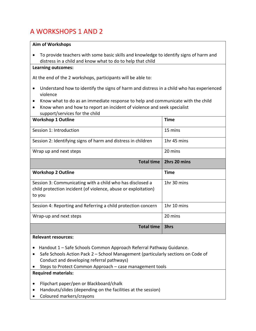## A WORKSHOPS 1 AND 2

#### **Aim of Workshops**

• To provide teachers with some basic skills and knowledge to identify signs of harm and distress in a child and know what to do to help that child

## **Learning outcomes:**

At the end of the 2 workshops, participants will be able to:

- Understand how to identify the signs of harm and distress in a child who has experienced violence
- Know what to do as an immediate response to help and communicate with the child
- Know when and how to report an incident of violence and seek specialist support/services for the child

| <b>Workshop 1 Outline</b>                                                                                                             | <b>Time</b>  |
|---------------------------------------------------------------------------------------------------------------------------------------|--------------|
| Session 1: Introduction                                                                                                               | 15 mins      |
| Session 2: Identifying signs of harm and distress in children                                                                         | 1hr 45 mins  |
| Wrap up and next steps                                                                                                                | 20 mins      |
| <b>Total time</b>                                                                                                                     | 2hrs 20 mins |
| <b>Workshop 2 Outline</b>                                                                                                             | <b>Time</b>  |
| Session 3: Communicating with a child who has disclosed a<br>child protection incident (of violence, abuse or exploitation)<br>to you | 1hr 30 mins  |
| Session 4: Reporting and Referring a child protection concern                                                                         | 1hr 10 mins  |
| Wrap-up and next steps                                                                                                                | 20 mins      |
| <b>Total time</b>                                                                                                                     | 3hrs         |

#### **Relevant resources:**

- Handout 1 Safe Schools Common Approach Referral Pathway Guidance.
- Safe Schools Action Pack 2 School Management (particularly sections on Code of Conduct and developing referral pathways)
- Steps to Protect Common Approach case management tools

## **Required materials:**

- Flipchart paper/pen or Blackboard/chalk
- Handouts/slides (depending on the facilities at the session)
- Coloured markers/crayons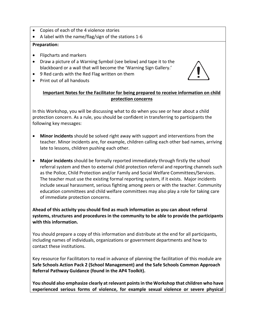- Copies of each of the 4 violence stories
- A label with the name/flag/sign of the stations 1-6

## **Preparation:**

- Flipcharts and markers
- Draw a picture of a Warning Symbol (see below) and tape it to the blackboard or a wall that will become the 'Warning Sign Gallery.'
- 9 Red cards with the Red Flag written on them
- Print out of all handouts



## **Important Notes for the Facilitator for being prepared to receive information on child protection concerns**

In this Workshop, you will be discussing what to do when you see or hear about a child protection concern. As a rule, you should be confident in transferring to participants the following key messages:

- **Minor incidents** should be solved right away with support and interventions from the teacher. Minor incidents are, for example, children calling each other bad names, arriving late to lessons, children pushing each other.
- **Major incidents** should be formally reported immediately through firstly the school referral system and then to external child protection referral and reporting channels such as the Police, Child Protection and/or Family and Social Welfare Committees/Services. The teacher must use the existing formal reporting system, if it exists. Major incidents include sexual harassment, serious fighting among peers or with the teacher. Community education committees and child welfare committees may also play a role for taking care of immediate protection concerns.

**Ahead of this activity you should find as much information as you can about referral systems, structures and procedures in the community to be able to provide the participants with this information.** 

You should prepare a copy of this information and distribute at the end for all participants, including names of individuals, organizations or government departments and how to contact these institutions.

Key resource for Facilitators to read in advance of planning the facilitation of this module are **Safe Schools Action Pack 2 (School Management) and the Safe Schools Common Approach Referral Pathway Guidance (found in the AP4 Toolkit).**

**You should also emphasize clearly at relevant points in the Workshop that children who have experienced serious forms of violence, for example sexual violence or severe physical**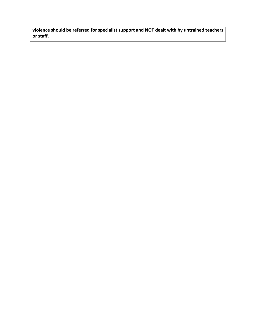**violence should be referred for specialist support and NOT dealt with by untrained teachers or staff.**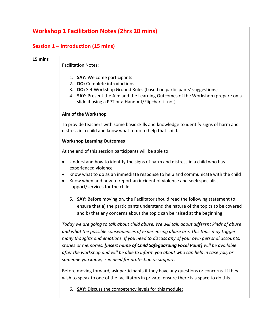| <b>Workshop 1 Facilitation Notes (2hrs 20 mins)</b> |                                                                                                                                                                                                                                                                                                                                                                                                                                                                                                                         |  |  |
|-----------------------------------------------------|-------------------------------------------------------------------------------------------------------------------------------------------------------------------------------------------------------------------------------------------------------------------------------------------------------------------------------------------------------------------------------------------------------------------------------------------------------------------------------------------------------------------------|--|--|
|                                                     | Session $1$ – Introduction (15 mins)                                                                                                                                                                                                                                                                                                                                                                                                                                                                                    |  |  |
| 15 mins                                             | <b>Facilitation Notes:</b>                                                                                                                                                                                                                                                                                                                                                                                                                                                                                              |  |  |
|                                                     | 1. SAY: Welcome participants<br>2. DO: Complete introductions<br>3. DO: Set Workshop Ground Rules (based on participants' suggestions)<br>4. SAY: Present the Aim and the Learning Outcomes of the Workshop (prepare on a<br>slide if using a PPT or a Handout/Flipchart if not)                                                                                                                                                                                                                                        |  |  |
|                                                     | Aim of the Workshop                                                                                                                                                                                                                                                                                                                                                                                                                                                                                                     |  |  |
|                                                     | To provide teachers with some basic skills and knowledge to identify signs of harm and<br>distress in a child and know what to do to help that child.                                                                                                                                                                                                                                                                                                                                                                   |  |  |
|                                                     | <b>Workshop Learning Outcomes</b>                                                                                                                                                                                                                                                                                                                                                                                                                                                                                       |  |  |
|                                                     | At the end of this session participants will be able to:                                                                                                                                                                                                                                                                                                                                                                                                                                                                |  |  |
|                                                     | Understand how to identify the signs of harm and distress in a child who has<br>$\bullet$<br>experienced violence<br>Know what to do as an immediate response to help and communicate with the child<br>$\bullet$<br>Know when and how to report an incident of violence and seek specialist<br>٠<br>support/services for the child                                                                                                                                                                                     |  |  |
|                                                     | 5. SAY: Before moving on, the Facilitator should read the following statement to<br>ensure that a) the participants understand the nature of the topics to be covered<br>and b) that any concerns about the topic can be raised at the beginning.                                                                                                                                                                                                                                                                       |  |  |
|                                                     | Today we are going to talk about child abuse. We will talk about different kinds of abuse<br>and what the possible consequences of experiencing abuse are. This topic may trigger<br>many thoughts and emotions. If you need to discuss any of your own personal accounts,<br>stories or memories, [insert name of Child Safeguarding Focal Point] will be available<br>after the workshop and will be able to inform you about who can help in case you, or<br>someone you know, is in need for protection or support. |  |  |
|                                                     | Before moving forward, ask participants if they have any questions or concerns. If they<br>wish to speak to one of the facilitators in private, ensure there is a space to do this.                                                                                                                                                                                                                                                                                                                                     |  |  |
|                                                     | 6. SAY: Discuss the competency levels for this module:                                                                                                                                                                                                                                                                                                                                                                                                                                                                  |  |  |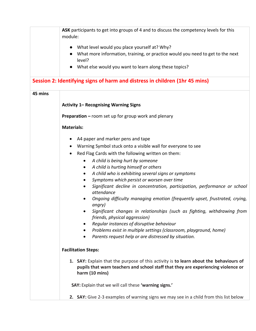|         | ASK participants to get into groups of 4 and to discuss the competency levels for this<br>module:                                                                                            |
|---------|----------------------------------------------------------------------------------------------------------------------------------------------------------------------------------------------|
|         | What level would you place yourself at? Why?                                                                                                                                                 |
|         | What more information, training, or practice would you need to get to the next<br>level?                                                                                                     |
|         | What else would you want to learn along these topics?                                                                                                                                        |
|         | Session 2: Identifying signs of harm and distress in children (1hr 45 mins)                                                                                                                  |
| 45 mins |                                                                                                                                                                                              |
|         | <b>Activity 1- Recognising Warning Signs</b>                                                                                                                                                 |
|         | <b>Preparation - room set up for group work and plenary</b>                                                                                                                                  |
|         | <b>Materials:</b>                                                                                                                                                                            |
|         | A4 paper and marker pens and tape                                                                                                                                                            |
|         | Warning Symbol stuck onto a visible wall for everyone to see                                                                                                                                 |
|         | Red Flag Cards with the following written on them:                                                                                                                                           |
|         |                                                                                                                                                                                              |
|         | A child is being hurt by someone<br>$\bullet$<br>A child is hurting himself or others<br>٠                                                                                                   |
|         | A child who is exhibiting several signs or symptoms<br>$\bullet$                                                                                                                             |
|         | Symptoms which persist or worsen over time                                                                                                                                                   |
|         | Significant decline in concentration, participation, performance or school<br>attendance                                                                                                     |
|         | Ongoing difficulty managing emotion (frequently upset, frustrated, crying,<br>angry)                                                                                                         |
|         | Significant changes in relationships (such as fighting, withdrawing from<br>friends, physical aggression)                                                                                    |
|         | Regular instances of disruptive behaviour<br>$\bullet$                                                                                                                                       |
|         | Problems exist in multiple settings (classroom, playground, home)                                                                                                                            |
|         | Parents request help or are distressed by situation.                                                                                                                                         |
|         | <b>Facilitation Steps:</b>                                                                                                                                                                   |
|         | 1. SAY: Explain that the purpose of this activity is to learn about the behaviours of<br>pupils that warn teachers and school staff that they are experiencing violence or<br>harm (10 mins) |
|         | SAY: Explain that we will call these 'warning signs.'                                                                                                                                        |
|         | 2. SAY: Give 2-3 examples of warning signs we may see in a child from this list below                                                                                                        |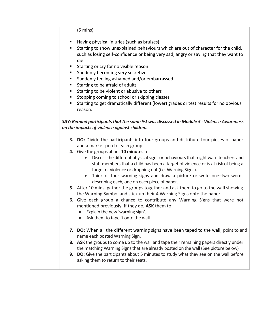## (5 mins)

- Having physical injuries (such as bruises)
- Starting to show unexplained behaviours which are out of character for the child, such as losing self-confidence or being very sad, angry or saying that they want to die.
- Starting or cry for no visible reason
- Suddenly becoming very secretive
- Suddenly feeling ashamed and/or embarrassed
- Starting to be afraid of adults
- Starting to be violent or abusive to others
- Stopping coming to school or skipping classes
- Starting to get dramatically different (lower) grades or test results for no obvious reason.

## *SAY: Remind participantsthat the same list was discussed in Module 5 - Violence Awareness on the impacts of violence against children.*

- **3. DO:** Divide the participants into four groups and distribute four pieces of paper and a marker pen to each group.
- **4.** Give the groups about **10 minutes**to:
	- Discuss the different physical signs or behaviours that might warn teachers and staff members that a child has been a target of violence or is at risk of being a target of violence or dropping out (i.e. Warning Signs).
	- Think of four warning signs and draw a picture or write one–two words describing each, one on each piece of paper.
- **5.** After 10 mins, gather the groups together and ask them to go to the wall showing the Warning Symbol and stick up their 4 Warning Signs onto the paper.
- **6.** Give each group a chance to contribute any Warning Signs that were not mentioned previously. If they do, **ASK** them to:
	- Explain the new 'warning sign'.
	- Ask them to tape it onto the wall.
- **7. DO:** When all the different warning signs have been taped to the wall, point to and name each posted Warning Sign.
- **8. ASK** the groups to come up to the wall and tape their remaining papers directly under the matching Warning Signs that are already posted on the wall (See picture below)
- **9. DO:** Give the participants about 5 minutes to study what they see on the wall before asking them to return to their seats.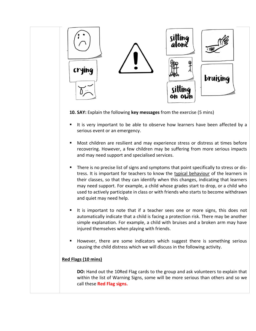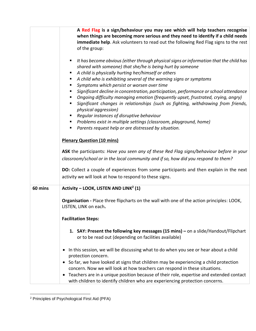|         | A Red Flag is a sign/behaviour you may see which will help teachers recognise<br>when things are becoming more serious and they need to identify if a child needs<br>immediate help. Ask volunteers to read out the following Red Flag signs to the rest<br>of the group:<br>It has become obvious (either through physical signs or information that the child has<br>п<br>shared with someone) that she/he is being hurt by someone<br>A child is physically hurting her/himself or others<br>٠<br>A child who is exhibiting several of the warning signs or symptoms<br>п<br>Symptoms which persist or worsen over time<br>п<br>Significant decline in concentration, participation, performance or school attendance<br>п<br>Ongoing difficulty managing emotion (frequently upset, frustrated, crying, angry)<br>п<br>Significant changes in relationships (such as fighting, withdrawing from friends,<br>physical aggression)<br>Regular instances of disruptive behaviour<br>п<br>Problems exist in multiple settings (classroom, playground, home)<br>ш<br>Parents request help or are distressed by situation.<br><b>Plenary Question (10 mins)</b><br>ASK the participants: Have you seen any of these Red Flag signs/behaviour before in your<br>classroom/school or in the local community and if so, how did you respond to them?<br>DO: Collect a couple of experiences from some participants and then explain in the next |
|---------|--------------------------------------------------------------------------------------------------------------------------------------------------------------------------------------------------------------------------------------------------------------------------------------------------------------------------------------------------------------------------------------------------------------------------------------------------------------------------------------------------------------------------------------------------------------------------------------------------------------------------------------------------------------------------------------------------------------------------------------------------------------------------------------------------------------------------------------------------------------------------------------------------------------------------------------------------------------------------------------------------------------------------------------------------------------------------------------------------------------------------------------------------------------------------------------------------------------------------------------------------------------------------------------------------------------------------------------------------------------------------------------------------------------------------------------------|
|         | activity we will look at how to respond to these signs.                                                                                                                                                                                                                                                                                                                                                                                                                                                                                                                                                                                                                                                                                                                                                                                                                                                                                                                                                                                                                                                                                                                                                                                                                                                                                                                                                                                    |
| 60 mins | Activity - LOOK, LISTEN AND LINK <sup>2</sup> (1)                                                                                                                                                                                                                                                                                                                                                                                                                                                                                                                                                                                                                                                                                                                                                                                                                                                                                                                                                                                                                                                                                                                                                                                                                                                                                                                                                                                          |
|         | Organisation - Place three flipcharts on the wall with one of the action principles: LOOK,<br>LISTEN, LINK on each.                                                                                                                                                                                                                                                                                                                                                                                                                                                                                                                                                                                                                                                                                                                                                                                                                                                                                                                                                                                                                                                                                                                                                                                                                                                                                                                        |
|         | <b>Facilitation Steps:</b>                                                                                                                                                                                                                                                                                                                                                                                                                                                                                                                                                                                                                                                                                                                                                                                                                                                                                                                                                                                                                                                                                                                                                                                                                                                                                                                                                                                                                 |
|         | 1. SAY: Present the following key messages (15 mins) - on a slide/Handout/Flipchart<br>or to be read out (depending on facilities available)                                                                                                                                                                                                                                                                                                                                                                                                                                                                                                                                                                                                                                                                                                                                                                                                                                                                                                                                                                                                                                                                                                                                                                                                                                                                                               |
|         | In this session, we will be discussing what to do when you see or hear about a child<br>$\bullet$<br>protection concern.<br>So far, we have looked at signs that children may be experiencing a child protection<br>concern. Now we will look at how teachers can respond in these situations.<br>Teachers are in a unique position because of their role, expertise and extended contact<br>$\bullet$<br>with children to identify children who are experiencing protection concerns.                                                                                                                                                                                                                                                                                                                                                                                                                                                                                                                                                                                                                                                                                                                                                                                                                                                                                                                                                     |

<sup>2</sup> Principles of Psychological First Aid (PFA)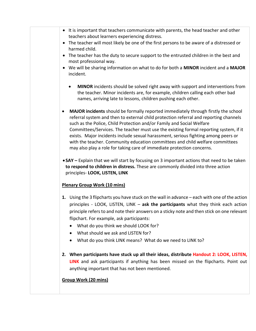• It is important that teachers communicate with parents, the head teacher and other teachers about learners experiencing distress. • The teacher will most likely be one of the first persons to be aware of a distressed or harmed child. • The teacher has the duty to secure support to the entrusted children in the best and most professional way. • We will be sharing information on what to do for both a **MINOR** incident and a **MAJOR** incident. • **MINOR** incidents should be solved right away with support and interventions from the teacher. Minor incidents are, for example, children calling each other bad names, arriving late to lessons, children pushing each other. • **MAJOR incidents** should be formally reported immediately through firstly the school referral system and then to external child protection referral and reporting channels such as the Police, Child Protection and/or Family and Social Welfare Committees/Services. The teacher must use the existing formal reporting system, if it exists. Major incidents include sexual harassment, serious fighting among peers or with the teacher. Community education committees and child welfare committees may also play a role for taking care of immediate protection concerns. • **SAY –** Explain that we will start by focusing on 3 important actions that need to be taken **to respond to children in distress.** These are commonly divided into three action principles- **LOOK, LISTEN, LINK Plenary Group Work (10 mins) 1.** Using the 3 flipcharts you have stuck on the wall in advance – each with one of the action principles - LOOK, LISTEN, LINK – **ask the participants** what they think each action principle refers to and note their answers on a sticky note and then stick on one relevant flipchart. For example, ask participants: • What do you think we should LOOK for? • What should we ask and LISTEN for? • What do you think LINK means? What do we need to LINK to? **2. When participants have stuck up all their ideas, distribute Handout 2: LOOK, LISTEN, LINK** and ask participants if anything has been missed on the flipcharts. Point out anything important that has not been mentioned. **Group Work (20 mins)**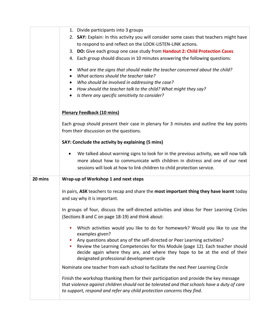|         | 1. Divide participants into 3 groups                                                        |
|---------|---------------------------------------------------------------------------------------------|
|         | 2. SAY: Explain: In this activity you will consider some cases that teachers might have     |
|         | to respond to and reflect on the LOOK-LISTEN-LINK actions.                                  |
|         | 3. DO: Give each group one case study from Handout 2: Child Protection Cases                |
|         | 4. Each group should discuss in 10 minutes answering the following questions:               |
|         |                                                                                             |
|         | What are the signs that should make the teacher concerned about the child?<br>$\bullet$     |
|         | What actions should the teacher take?                                                       |
|         | Who should be involved in addressing the case?<br>$\bullet$                                 |
|         | How should the teacher talk to the child? What might they say?                              |
|         | Is there any specific sensitivity to consider?                                              |
|         |                                                                                             |
|         | <b>Plenary Feedback (10 mins)</b>                                                           |
|         | Each group should present their case in plenary for 3 minutes and outline the key points    |
|         | from their discussion on the questions.                                                     |
|         |                                                                                             |
|         | SAY: Conclude the activity by explaining (5 mins)                                           |
|         | We talked about warning signs to look for in the previous activity, we will now talk<br>٠   |
|         | more about how to communicate with children in distress and one of our next                 |
|         | sessions will look at how to link children to child protection service.                     |
|         |                                                                                             |
| 20 mins | Wrap-up of Workshop 1 and next steps                                                        |
|         | In pairs, ASK teachers to recap and share the most important thing they have learnt today   |
|         | and say why it is important.                                                                |
|         |                                                                                             |
|         | In groups of four, discuss the self-directed activities and ideas for Peer Learning Circles |
|         | (Sections B and C on page 18-19) and think about:                                           |
|         | Which activities would you like to do for homework? Would you like to use the               |
|         | examples given?                                                                             |
|         | Any questions about any of the self-directed or Peer Learning activities?                   |
|         | Review the Learning Competencies for this Module (page 12). Each teacher should             |
|         | decide again where they are, and where they hope to be at the end of their                  |
|         | designated professional development cycle                                                   |
|         | Nominate one teacher from each school to facilitate the next Peer Learning Circle           |
|         | Finish the workshop thanking them for their participation and provide the key message       |
|         | that violence against children should not be tolerated and that schools have a duty of care |
|         | to support, respond and refer any child protection concerns they find.                      |
|         |                                                                                             |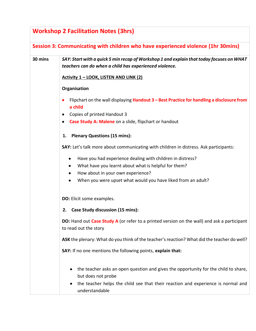| <b>Workshop 2 Facilitation Notes (3hrs)</b>                                       |                                                                                                                                                                                                                                   |  |
|-----------------------------------------------------------------------------------|-----------------------------------------------------------------------------------------------------------------------------------------------------------------------------------------------------------------------------------|--|
| Session 3: Communicating with children who have experienced violence (1hr 30mins) |                                                                                                                                                                                                                                   |  |
| 30 mins                                                                           | SAY: Start with a quick 5 min recap of Workshop 1 and explain that today focuses on WHAT<br>teachers can do when a child has experienced violence.                                                                                |  |
|                                                                                   | Activity 1 - LOOK, LISTEN AND LINK (2)                                                                                                                                                                                            |  |
|                                                                                   | Organisation                                                                                                                                                                                                                      |  |
|                                                                                   | Flipchart on the wall displaying Handout 3 - Best Practice for handling a disclosure from<br>a child<br>Copies of printed Handout 3                                                                                               |  |
|                                                                                   | Case Study A: Malene on a slide, flipchart or handout                                                                                                                                                                             |  |
|                                                                                   | <b>Plenary Questions (15 mins):</b><br>1.                                                                                                                                                                                         |  |
|                                                                                   | SAY: Let's talk more about communicating with children in distress. Ask participants:                                                                                                                                             |  |
|                                                                                   | Have you had experience dealing with children in distress?<br>٠<br>What have you learnt about what is helpful for them?<br>٠<br>How about in your own experience?<br>When you were upset what would you have liked from an adult? |  |
|                                                                                   | DO: Elicit some examples.                                                                                                                                                                                                         |  |
|                                                                                   | <b>Case Study discussion (15 mins):</b><br>2.                                                                                                                                                                                     |  |
|                                                                                   | DO: Hand out Case Study A (or refer to a printed version on the wall) and ask a participant<br>to read out the story                                                                                                              |  |
|                                                                                   | ASK the plenary: What do you think of the teacher's reaction? What did the teacher do well?                                                                                                                                       |  |
|                                                                                   | SAY: If no one mentions the following points, explain that:                                                                                                                                                                       |  |
|                                                                                   | the teacher asks an open question and gives the opportunity for the child to share,<br>٠<br>but does not probe<br>the teacher helps the child see that their reaction and experience is normal and<br>understandable              |  |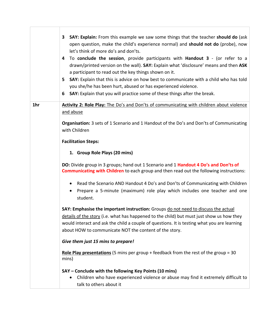|     | <b>SAY: Explain:</b> From this example we saw some things that the teacher should do (ask<br>3<br>open question, make the child's experience normal) and <b>should not do</b> (probe), now<br>let's think of more do's and don'ts.<br>To conclude the session, provide participants with Handout 3 - (or refer to a<br>4<br>drawn/printed version on the wall). SAY: Explain what 'disclosure' means and then ASK<br>a participant to read out the key things shown on it.<br>SAY: Explain that this is advice on how best to communicate with a child who has told<br>5.<br>you she/he has been hurt, abused or has experienced violence.<br><b>SAY:</b> Explain that you will practice some of these things after the break.<br>6 |
|-----|-------------------------------------------------------------------------------------------------------------------------------------------------------------------------------------------------------------------------------------------------------------------------------------------------------------------------------------------------------------------------------------------------------------------------------------------------------------------------------------------------------------------------------------------------------------------------------------------------------------------------------------------------------------------------------------------------------------------------------------|
| 1hr | Activity 2: Role Play: The Do's and Don'ts of communicating with children about violence<br>and abuse<br>Organisation: 3 sets of 1 Scenario and 1 Handout of the Do's and Don'ts of Communicating                                                                                                                                                                                                                                                                                                                                                                                                                                                                                                                                   |
|     | with Children<br><b>Facilitation Steps:</b>                                                                                                                                                                                                                                                                                                                                                                                                                                                                                                                                                                                                                                                                                         |
|     | 1. Group Role Plays (20 mins)                                                                                                                                                                                                                                                                                                                                                                                                                                                                                                                                                                                                                                                                                                       |
|     | DO: Divide group in 3 groups; hand out 1 Scenario and 1 Handout 4 Do's and Don'ts of<br><b>Communicating with Children</b> to each group and then read out the following instructions:                                                                                                                                                                                                                                                                                                                                                                                                                                                                                                                                              |
|     | Read the Scenario AND Handout 4 Do's and Don'ts of Communicating with Children<br>Prepare a 5-minute (maximum) role play which includes one teacher and one<br>student.                                                                                                                                                                                                                                                                                                                                                                                                                                                                                                                                                             |
|     | SAY: Emphasise the important instruction: Groups do not need to discuss the actual<br>details of the story (i.e. what has happened to the child) but must just show us how they<br>would interact and ask the child a couple of questions. It is testing what you are learning<br>about HOW to communicate NOT the content of the story.                                                                                                                                                                                                                                                                                                                                                                                            |
|     | Give them just 15 mins to prepare!                                                                                                                                                                                                                                                                                                                                                                                                                                                                                                                                                                                                                                                                                                  |
|     | Role Play presentations (5 mins per group + feedback from the rest of the group = 30<br>mins)                                                                                                                                                                                                                                                                                                                                                                                                                                                                                                                                                                                                                                       |
|     | SAY – Conclude with the following Key Points (10 mins)<br>Children who have experienced violence or abuse may find it extremely difficult to<br>talk to others about it                                                                                                                                                                                                                                                                                                                                                                                                                                                                                                                                                             |

T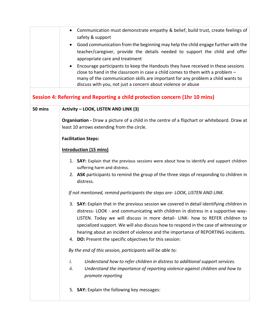|         | Communication must demonstrate empathy & belief, build trust, create feelings of<br>safety & support                                                                                                                                                                                                                                                                                                                                                                                                    |
|---------|---------------------------------------------------------------------------------------------------------------------------------------------------------------------------------------------------------------------------------------------------------------------------------------------------------------------------------------------------------------------------------------------------------------------------------------------------------------------------------------------------------|
|         | Good communication from the beginning may help the child engage further with the<br>teacher/caregiver, provide the details needed to support the child and offer<br>appropriate care and treatment                                                                                                                                                                                                                                                                                                      |
|         | Encourage participants to keep the Handouts they have received in these sessions<br>close to hand in the classroom in case a child comes to them with a problem -<br>many of the communication skills are important for any problem a child wants to<br>discuss with you, not just a concern about violence or abuse                                                                                                                                                                                    |
|         | Session 4: Referring and Reporting a child protection concern (1hr 10 mins)                                                                                                                                                                                                                                                                                                                                                                                                                             |
| 50 mins | Activity - LOOK, LISTEN AND LINK (3)                                                                                                                                                                                                                                                                                                                                                                                                                                                                    |
|         | Organisation - Draw a picture of a child in the centre of a flipchart or whiteboard. Draw at<br>least 10 arrows extending from the circle.                                                                                                                                                                                                                                                                                                                                                              |
|         | <b>Facilitation Steps:</b>                                                                                                                                                                                                                                                                                                                                                                                                                                                                              |
|         | <b>Introduction (15 mins)</b>                                                                                                                                                                                                                                                                                                                                                                                                                                                                           |
|         | 1. SAY: Explain that the previous sessions were about how to identify and support children<br>suffering harm and distress.                                                                                                                                                                                                                                                                                                                                                                              |
|         | 2. ASK participants to remind the group of the three steps of responding to children in<br>distress.                                                                                                                                                                                                                                                                                                                                                                                                    |
|         | If not mentioned, remind participants the steps are-LOOK, LISTEN AND LINK.                                                                                                                                                                                                                                                                                                                                                                                                                              |
|         | 3. SAY: Explain that in the previous session we covered in detail identifying children in<br>distress- LOOK - and communicating with children in distress in a supportive way-<br>LISTEN. Today we will discuss in more detail- LINK- how to REFER children to<br>specialized support. We will also discuss how to respond in the case of witnessing or<br>hearing about an incident of violence and the importance of REPORTING incidents.<br>4. DO: Present the specific objectives for this session: |
|         | By the end of this session, participants will be able to:                                                                                                                                                                                                                                                                                                                                                                                                                                               |
|         | Understand how to refer children in distress to additional support services.<br>i.<br>Understand the importance of reporting violence against children and how to<br>ii.<br>promote reporting                                                                                                                                                                                                                                                                                                           |
|         | 5. SAY: Explain the following key messages:                                                                                                                                                                                                                                                                                                                                                                                                                                                             |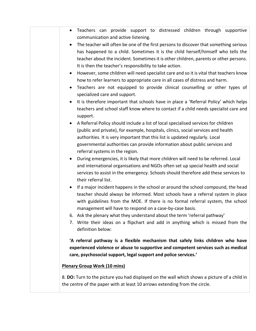| Teachers can provide support to distressed children through supportive                                      |
|-------------------------------------------------------------------------------------------------------------|
| communication and active listening.                                                                         |
| The teacher will often be one of the first persons to discover that something serious<br>$\bullet$          |
| has happened to a child. Sometimes it is the child herself/himself who tells the                            |
| teacher about the incident. Sometimes it is other children, parents or other persons.                       |
| It is then the teacher's responsibility to take action.                                                     |
| However, some children will need specialist care and so it is vital that teachers know                      |
| how to refer learners to appropriate care in all cases of distress and harm.                                |
| Teachers are not equipped to provide clinical counselling or other types of                                 |
| specialized care and support.                                                                               |
| It is therefore important that schools have in place a 'Referral Policy' which helps                        |
| teachers and school staff know where to contact if a child needs specialist care and<br>support.            |
| A Referral Policy should include a list of local specialised services for children                          |
| (public and private), for example, hospitals, clinics, social services and health                           |
| authorities. It is very important that this list is updated regularly. Local                                |
| governmental authorities can provide information about public services and                                  |
| referral systems in the region.                                                                             |
| During emergencies, it is likely that more children will need to be referred. Local                         |
| and international organisations and NGOs often set up special health and social                             |
| services to assist in the emergency. Schools should therefore add these services to<br>their referral list. |
| If a major incident happens in the school or around the school compound, the head                           |
| teacher should always be informed. Most schools have a referral system in place                             |
| with guidelines from the MOE. If there is no formal referral system, the school                             |
| management will have to respond on a case-by-case basis.                                                    |
| 6. Ask the plenary what they understand about the term 'referral pathway'                                   |
| 7. Write their ideas on a flipchart and add in anything which is missed from the                            |
| definition below:                                                                                           |
| 'A referral pathway is a flexible mechanism that safely links children who have                             |
| experienced violence or abuse to supportive and competent services such as medical                          |
| care, psychosocial support, legal support and police services.'                                             |
| <b>Plenary Group Work (10 mins)</b>                                                                         |
| 8. DO: Turn to the picture you had displayed on the wall which shows a picture of a child in                |
| the centre of the paper with at least 10 arrows extending from the circle.                                  |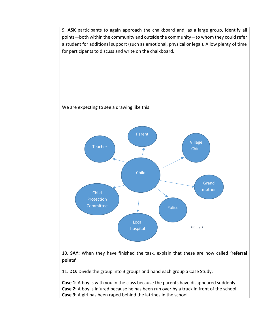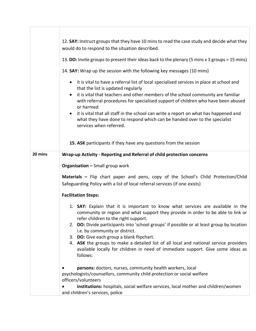|         | 12. SAY: Instruct groups that they have 10 mins to read the case study and decide what they<br>would do to respond to the situation described.                                                                                                                                                                                                 |
|---------|------------------------------------------------------------------------------------------------------------------------------------------------------------------------------------------------------------------------------------------------------------------------------------------------------------------------------------------------|
|         | 13. DO: Invite groups to present their ideas back to the plenary (5 mins x 3 groups = 15 mins)                                                                                                                                                                                                                                                 |
|         | 14. SAY: Wrap up the session with the following key messages (10 mins)                                                                                                                                                                                                                                                                         |
|         | it is vital to have a referral list of local specialised services in place at school and<br>$\bullet$<br>that the list is updated regularly<br>it is vital that teachers and other members of the school community are familiar<br>$\bullet$<br>with referral procedures for specialised support of children who have been abused<br>or harmed |
|         | it is vital that all staff in the school can write a report on what has happened and<br>$\bullet$<br>what they have done to respond which can be handed over to the specialist<br>services when referred.                                                                                                                                      |
|         | 15. ASK participants if they have any questions from the session                                                                                                                                                                                                                                                                               |
| 20 mins | Wrap-up Activity - Reporting and Referral of child protection concerns                                                                                                                                                                                                                                                                         |
|         | <b>Organisation - Small group work</b>                                                                                                                                                                                                                                                                                                         |
|         | Materials - Flip chart paper and pens, copy of the School's Child Protection/Child<br>Safeguarding Policy with a list of local referral services (if one exists)                                                                                                                                                                               |
|         | <b>Facilitation Steps:</b>                                                                                                                                                                                                                                                                                                                     |
|         | 1. <b>SAY:</b> Explain that it is important to know what services are available in the<br>community or region and what support they provide in order to be able to link or<br>refer children to the right support.<br>2. DO: Divide participants into 'school groups' if possible or at least group by location                                |
|         | i.e. by community or district.                                                                                                                                                                                                                                                                                                                 |
|         | 3. DO: Give each group a blank flipchart.                                                                                                                                                                                                                                                                                                      |
|         | 4. ASK the groups to make a detailed list of all local and national service providers<br>available locally for children in need of immediate support. Give some ideas as<br>follows:                                                                                                                                                           |
|         | persons: doctors, nurses, community health workers, local                                                                                                                                                                                                                                                                                      |
|         | psychologists/counsellors, community child protection or social welfare                                                                                                                                                                                                                                                                        |
|         | officers/volunteers<br>institutions: hospitals, social welfare services, local mother and children/women                                                                                                                                                                                                                                       |
|         | and children's services, police                                                                                                                                                                                                                                                                                                                |

Г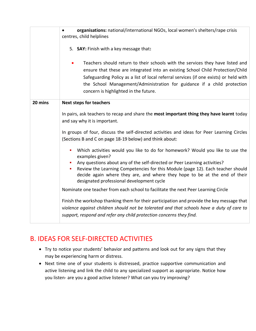|         | organisations: national/international NGOs, local women's shelters/rape crisis<br>centres, child helplines<br>5. SAY: Finish with a key message that:<br>Teachers should return to their schools with the services they have listed and<br>ensure that these are integrated into an existing School Child Protection/Child<br>Safeguarding Policy as a list of local referral services (if one exists) or held with<br>the School Management/Administration for guidance if a child protection<br>concern is highlighted in the future. |
|---------|-----------------------------------------------------------------------------------------------------------------------------------------------------------------------------------------------------------------------------------------------------------------------------------------------------------------------------------------------------------------------------------------------------------------------------------------------------------------------------------------------------------------------------------------|
| 20 mins | <b>Next steps for teachers</b><br>In pairs, ask teachers to recap and share the most important thing they have learnt today<br>and say why it is important.                                                                                                                                                                                                                                                                                                                                                                             |
|         | In groups of four, discuss the self-directed activities and ideas for Peer Learning Circles<br>(Sections B and C on page 18-19 below) and think about:                                                                                                                                                                                                                                                                                                                                                                                  |
|         | Which activities would you like to do for homework? Would you like to use the<br>examples given?<br>Any questions about any of the self-directed or Peer Learning activities?<br>Review the Learning Competencies for this Module (page 12). Each teacher should<br>decide again where they are, and where they hope to be at the end of their<br>designated professional development cycle                                                                                                                                             |
|         | Nominate one teacher from each school to facilitate the next Peer Learning Circle                                                                                                                                                                                                                                                                                                                                                                                                                                                       |
|         | Finish the workshop thanking them for their participation and provide the key message that<br>violence against children should not be tolerated and that schools have a duty of care to<br>support, respond and refer any child protection concerns they find.                                                                                                                                                                                                                                                                          |

## B. IDEAS FOR SELF-DIRECTED ACTIVITIES

- Try to notice your students' behavior and patterns and look out for any signs that they may be experiencing harm or distress.
- Next time one of your students is distressed, practice supportive communication and active listening and link the child to any specialized support as appropriate. Notice how you listen- are you a good active listener? What can you try improving?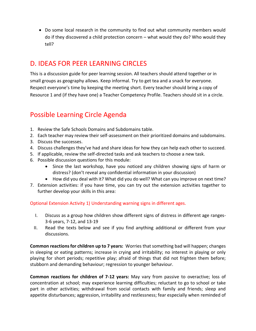• Do some local research in the community to find out what community members would do if they discovered a child protection concern – what would they do? Who would they tell?

## D. IDEAS FOR PEER LEARNING CIRCLES

This is a discussion guide for peer learning session. All teachers should attend together or in small groups as geography allows. Keep informal. Try to get tea and a snack for everyone. Respect everyone's time by keeping the meeting short. Every teacher should bring a copy of Resource 1 and (if they have one) a Teacher Competency Profile. Teachers should sit in a circle.

## Possible Learning Circle Agenda

- 1. Review the Safe Schools Domains and Subdomains table.
- 2. Each teacher may review their self-assessment on their prioritized domains and subdomains.
- 3. Discuss the successes.
- 4. Discuss challenges they've had and share ideas for how they can help each other to succeed.
- 5. If applicable, review the self-directed tasks and ask teachers to choose a new task.
- 6. Possible discussion questions for this module:
	- Since the last workshop, have you noticed any children showing signs of harm or distress? (don't reveal any confidential information in your discussion)
	- How did you deal with it? What did you do well? What can you improve on next time?
- 7. Extension activities: if you have time, you can try out the extension activities together to further develop your skills in this area:

Optional Extension Activity 1) Understanding warning signs in different ages.

- I. Discuss as a group how children show different signs of distress in different age ranges-3-6 years, 7-12, and 13-19
- II. Read the texts below and see if you find anything additional or different from your discussions.

**Common reactions for children up to 7 years:** Worries that something bad will happen; changes in sleeping or eating patterns; increase in crying and irritability; no interest in playing or only playing for short periods; repetitive play; afraid of things that did not frighten them before; stubborn and demanding behaviour; regression to younger behaviour.

**Common reactions for children of 7-12 years:** May vary from passive to overactive; loss of concentration at school; may experience learning difficulties; reluctant to go to school or take part in other activities; withdrawal from social contacts with family and friends; sleep and appetite disturbances; aggression, irritability and restlessness; fear especially when reminded of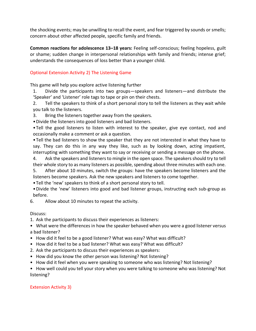the shocking events; may be unwilling to recall the event, and fear triggered by sounds or smells; concern about other affected people, specific family and friends.

**Common reactions for adolescence 13–18 years:** Feeling self-conscious; feeling hopeless, guilt or shame; sudden change in interpersonal relationships with family and friends; intense grief; understands the consequences of loss better than a younger child.

## Optional Extension Activity 2) The Listening Game

This game will help you explore active listening further

1. Divide the participants into two groups—speakers and listeners—and distribute the 'Speaker' and 'Listener' role tags to tape or pin on their chests.

2. Tell the speakers to think of a short personal story to tell the listeners as they wait while you talk to the listeners.

3. Bring the listeners together away from the speakers.

•Divide the listeners into good listeners and bad listeners.

•Tell the good listeners to listen with interest to the speaker, give eye contact, nod and occasionally make a comment or ask a question.

•Tell the bad listeners to show the speaker that they are not interested in what they have to say. They can do this in any way they like, such as by looking down, acting impatient, interrupting with something they want to say or receiving or sending a message on the phone.

4. Ask the speakers and listeners to mingle in the open space. The speakers should try to tell their whole story to as many listeners as possible, spending about three minutes with each one.

5. After about 10 minutes, switch the groups: have the speakers become listeners and the listeners become speakers. Ask the new speakers and listeners to come together.

•Tell the 'new' speakers to think of a short personal story to tell.

•Divide the 'new' listeners into good and bad listener groups, instructing each sub-group as before.

6. Allow about 10 minutes to repeat the activity.

Discuss:

1. Ask the participants to discuss their experiences as listeners:

• What were the differences in how the speaker behaved when you were a good listener versus a bad listener?

- How did it feel to be a good listener? What was easy? What was difficult?
- How did it feel to be a bad listener? What was easy? What was difficult?
- 2. Ask the participants to discuss their experiences as speakers:
- How did you know the other person was listening? Not listening?
- How did it feel when you were speaking to someone who was listening? Not listening?

• How well could you tell your story when you were talking to someone who was listening? Not listening?

## Extension Activity 3)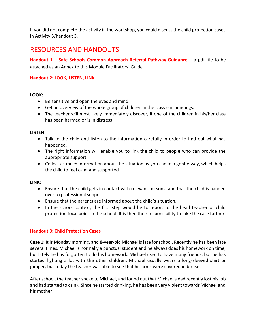If you did not complete the activity in the workshop, you could discuss the child protection cases in Activity 3/handout 3.

## RESOURCES AND HANDOUTS

**Handout 1 – Safe Schools Common Approach Referral Pathway Guidance –** a pdf file to be attached as an Annex to this Module Facilitators' Guide

## **Handout 2: LOOK, LISTEN, LINK**

## **LOOK:**

- Be sensitive and open the eyes and mind.
- Get an overview of the whole group of children in the class surroundings.
- The teacher will most likely immediately discover, if one of the children in his/her class has been harmed or is in distress

## **LISTEN:**

- Talk to the child and listen to the information carefully in order to find out what has happened.
- The right information will enable you to link the child to people who can provide the appropriate support.
- Collect as much information about the situation as you can in a gentle way, which helps the child to feel calm and supported

## **LINK:**

- Ensure that the child gets in contact with relevant persons, and that the child is handed over to professional support.
- Ensure that the parents are informed about the child's situation.
- In the school context, the first step would be to report to the head teacher or child protection focal point in the school. It is then their responsibility to take the case further.

## **Handout 3: Child Protection Cases**

**Case 1:** It is Monday morning, and 8-year-old Michael is late for school. Recently he has been late several times. Michael is normally a punctual student and he always does his homework on time, but lately he has forgotten to do his homework. Michael used to have many friends, but he has started fighting a lot with the other children. Michael usually wears a long-sleeved shirt or jumper, but today the teacher was able to see that his arms were covered in bruises.

After school, the teacher spoke to Michael, and found out that Michael's dad recently lost his job and had started to drink. Since he started drinking, he has been very violent towards Michael and his mother.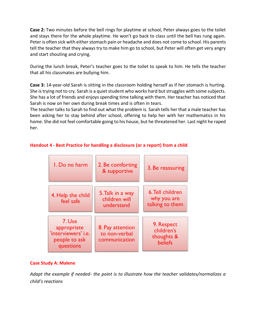**Case 2:** Two minutes before the bell rings for playtime at school, Peter always goes to the toilet and stays there for the whole playtime. He won't go back to class until the bell has rung again. Peter is often sick with either stomach pain or headache and does not come to school. His parents tell the teacher that they always try to make him go to school, but Peter will often get very angry and start shouting and crying.

During the lunch break, Peter's teacher goes to the toilet to speak to him. He tells the teacher that all his classmates are bullying him.

**Case 3:** 14-year-old Sarah is sitting in the classroom holding herself as if her stomach is hurting. She is trying not to cry. Sarah is a quiet student who works hard but struggles with some subjects. She has a lot of friends and enjoys spending time talking with them. Her teacher has noticed that Sarah is now on her own during break times and is often in tears.

The teacher talks to Sarah to find out what the problem is. Sarah tells her that a male teacher has been asking her to stay behind after school, offering to help her with her mathematics in his home. She did not feel comfortable going to his house, but he threatened her. Last night he raped her.



## **Handout 4 - Best Practice for handling a disclosure (or a report) from a child**

## **Case Study A: Malene**

*Adapt the example if needed- the point is to illustrate how the teacher validates/normalizes a child's reactions*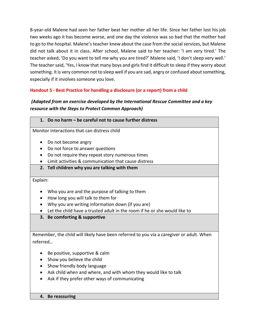8-year-old Malene had seen her father beat her mother all her life. Since her father lost his job two weeks ago it has become worse, and one day the violence was so bad that the mother had to go to the hospital. Malene's teacher knew about the case from the social services, but Malene did not talk about it in class. After school, Malene said to her teacher: 'I am very tired.' The teacher asked, 'Do you want to tell me why you are tired?' Malene said, 'I don't sleep very well.' The teacher said, 'Yes, I know that many boys and girls find it difficult to sleep if they worry about something. It is very common not to sleep well if you are sad, angry or confused about something, especially if it involves someone you love.

## **Handout 5 - Best Practice for handling a disclosure (or a report) from a child**

## *(Adapted from an exercise developed by the International Rescue Committee and a key resource with the Steps to Protect Common Approach)*

Monitor interactions that can distress child

- Do not become angry
- Do not force to answer questions
- Do not require they repeat story numerous times
- Limit activities & communication that cause distress
- **2. Tell children why you are talking with them**

## Explain:

- Who you are and the purpose of talking to them
- How long you will talk to them for
- Why you are writing information down (if you are)
- Let the child have a trusted adult in the room if he or she would like to
- **3. Be comforting & supportive**

Remember, the child will likely have been referred to you via a caregiver or adult. When referred…

- Be positive, supportive & calm
- Show you believe the child
- Show friendly body language
- Ask child when and where, and with whom they would like to talk
- Ask if they prefer other ways of communicating
- **4. Be reassuring**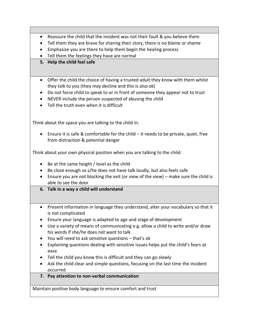- Reassure the child that the incident was not their fault & you believe them
- Tell them they are brave for sharing their story, there is no blame or shame
- Emphasize you are there to help them begin the healing process
- Tell them the feelings they have are normal
- **5. Help the child feel safe**
- Offer the child the choice of having a trusted adult they know with them whilst they talk to you (they may decline and this is also ok)
- Do not force child to speak to or in front of someone they appear not to trust
- NEVER include the person suspected of abusing the child
- Tell the truth even when it is difficult

Think about the space you are talking to the child in:

• Ensure it is safe & comfortable for the child – it needs to be private, quiet, free from distraction & potential danger

Think about your own physical position when you are talking to the child:

- Be at the same height / level as the child
- Be close enough so s/he does not have talk loudly, but also feels safe
- Ensure you are not blocking the exit (or view of the view) make sure the child is able to see the door
- **6. Talk in a way a child will understand**
- Present information in language they understand, alter your vocabulary so that it is not complicated
- Ensure your language is adapted to age and stage of development
- Use a variety of means of communicating e.g. allow a child to write and/or draw his words if she/he does not want to talk
- You will need to ask sensitive questions that's ok
- Explaining questions dealing with sensitive issues helps put the child's fears at ease
- Tell the child you know this is difficult and they can go slowly
- Ask the child clear and simple questions, focusing on the last time the incident occurred
- **7. Pay attention to non-verbal communication**

Maintain positive body language to ensure comfort and trust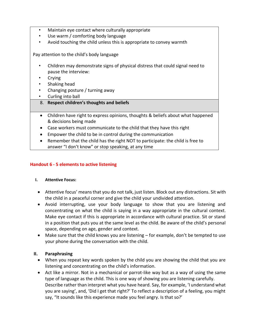- Maintain eye contact where culturally appropriate
- Use warm / comforting body language
- Avoid touching the child unless this is appropriate to convey warmth

Pay attention to the child's body language

- Children may demonstrate signs of physical distress that could signal need to pause the interview:
- Crying
- Shaking head
- Changing posture / turning away
- Curling into ball
- 8. **Respect children's thoughts and beliefs**
- Children have right to express opinions, thoughts & beliefs about what happened & decisions being made
- Case workers must communicate to the child that they have this right
- Empower the child to be in control during the communication
- Remember that the child has the right NOT to participate: the child is free to answer "I don't know" or stop speaking, at any time

## **Handout 6 - 5 elements to active listening**

## **I. Attentive Focus:**

- Attentive focus' means that you do not talk, just listen. Block out any distractions. Sit with the child in a peaceful corner and give the child your undivided attention.
- Avoid interrupting, use your body language to show that you are listening and concentrating on what the child is saying in a way appropriate in the cultural context. Make eye contact if this is appropriate in accordance with cultural practice. Sit or stand in a position that puts you at the same level as the child. Be aware of the child's personal space, depending on age, gender and context.
- Make sure that the child knows you are listening for example, don't be tempted to use your phone during the conversation with the child.

## **II. Paraphrasing**

- When you repeat key words spoken by the child you are showing the child that you are listening and concentrating on the child's information.
- Act like a mirror. Not in a mechanical or parrot-like way but as a way of using the same type of language as the child. This is one way of showing you are listening carefully. Describe rather than interpret what you have heard. Say, for example, 'I understand what you are saying', and, 'Did I get that right?' To reflect a description of a feeling, you might say, "It sounds like this experience made you feel angry. Is that so?'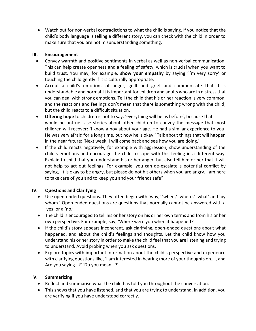• Watch out for non-verbal contradictions to what the child is saying. If you notice that the child's body language is telling a different story, you can check with the child in order to make sure that you are not misunderstanding something.

## **III. Encouragement**

- Convey warmth and positive sentiments in verbal as well as non-verbal communication. This can help create openness and a feeling of safety, which is crucial when you want to build trust. You may, for example, **show your empathy** by saying 'I'm very sorry' or touching the child gently if it is culturally appropriate.
- Accept a child's emotions of anger, guilt and grief and communicate that it is understandable and normal. It is important for children and adults who are in distress that you can deal with strong emotions. Tell the child that his or her reaction is very common, and the reactions and feelings don't mean that there is something wrong with the child, but the child reacts to a difficult situation.
- **Offering hope** to children is not to say, 'everything will be as before', because that would be untrue. Use stories about other children to convey the message that most children will recover: 'I know a boy about your age. He had a similar experience to you. He was very afraid for a long time, but now he is okay.' Talk about things that will happen in the near future: 'Next week, I will come back and see how you are doing.'
- If the child reacts negatively, for example with aggression, show understanding of the child's emotions and encourage the child to cope with this feeling in a different way. Explain to child that you understand his or her anger, but also tell him or her that it will not help to act out feelings. For example, you can de-escalate a potential conflict by saying, 'It is okay to be angry, but please do not hit others when you are angry. I am here to take care of you and to keep you and your friends safe"

## **IV. Questions and Clarifying**

- Use open-ended questions. They often begin with 'why,' 'when,' 'where,' 'what' and 'by whom.' Open-ended questions are questions that normally cannot be answered with a 'yes' or a 'no.'
- The child is encouraged to tell his or her story on his or her own terms and from his or her own perspective. For example, say, 'Where were you when it happened?'
- If the child's story appears incoherent, ask clarifying, open-ended questions about what happened, and about the child's feelings and thoughts. Let the child know how you understand his or her story in order to make the child feel that you are listening and trying to understand. Avoid probing when you ask questions.
- Explore topics with important information about the child's perspective and experience with clarifying questions like, 'I am interested in hearing more of your thoughts on…', and Are you saying…?' 'Do you mean…?'"

## **V. Summarizing**

- Reflect and summarise what the child has told you throughout the conversation.
- This shows that you have listened, and that you are trying to understand. In addition, you are verifying if you have understood correctly.